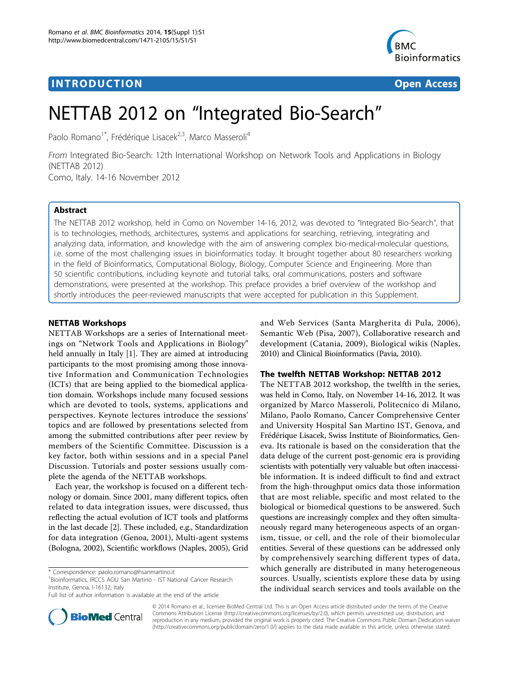## **INTRODUCTION CONSUMING THE CONSUMING TEACHER CONSUMING THE CONSUMING TEACHER CONSUMING THE CONSUMING TEACHER CONSUMING THE CONSUMING TEACHER CONSUMING THE CONSUMING THE CONSUMING THE CONSUMING THE CONSUMING THE CONSUMIN**



# NETTAB 2012 on "Integrated Bio-Search"

Paolo Romano<sup>1\*</sup>, Frédérique Lisacek<sup>2,3</sup>, Marco Masseroli<sup>4</sup>

From Integrated Bio-Search: 12th International Workshop on Network Tools and Applications in Biology (NETTAB 2012) Como, Italy. 14-16 November 2012

## Abstract

The NETTAB 2012 workshop, held in Como on November 14-16, 2012, was devoted to "Integrated Bio-Search", that is to technologies, methods, architectures, systems and applications for searching, retrieving, integrating and analyzing data, information, and knowledge with the aim of answering complex bio-medical-molecular questions, i.e. some of the most challenging issues in bioinformatics today. It brought together about 80 researchers working in the field of Bioinformatics, Computational Biology, Biology, Computer Science and Engineering. More than 50 scientific contributions, including keynote and tutorial talks, oral communications, posters and software demonstrations, were presented at the workshop. This preface provides a brief overview of the workshop and shortly introduces the peer-reviewed manuscripts that were accepted for publication in this Supplement.

## NETTAB Workshops

NETTAB Workshops are a series of International meetings on "Network Tools and Applications in Biology" held annually in Italy [[1\]](#page-3-0). They are aimed at introducing participants to the most promising among those innovative Information and Communication Technologies (ICTs) that are being applied to the biomedical application domain. Workshops include many focused sessions which are devoted to tools, systems, applications and perspectives. Keynote lectures introduce the sessions' topics and are followed by presentations selected from among the submitted contributions after peer review by members of the Scientific Committee. Discussion is a key factor, both within sessions and in a special Panel Discussion. Tutorials and poster sessions usually complete the agenda of the NETTAB workshops.

Each year, the workshop is focused on a different technology or domain. Since 2001, many different topics, often related to data integration issues, were discussed, thus reflecting the actual evolution of ICT tools and platforms in the last decade [\[2\]](#page-3-0). These included, e.g., Standardization for data integration (Genoa, 2001), Multi-agent systems (Bologna, 2002), Scientific workflows (Naples, 2005), Grid

<sup>1</sup> Bioinformatics, IRCCS AOU San Martino - IST National Cancer Research Institute, Genoa, I-16132, Italy

and Web Services (Santa Margherita di Pula, 2006), Semantic Web (Pisa, 2007), Collaborative research and development (Catania, 2009), Biological wikis (Naples, 2010) and Clinical Bioinformatics (Pavia, 2010).

### The twelfth NETTAB Workshop: NETTAB 2012

The NETTAB 2012 workshop, the twelfth in the series, was held in Como, Italy, on November 14-16, 2012. It was organized by Marco Masseroli, Politecnico di Milano, Milano, Paolo Romano, Cancer Comprehensive Center and University Hospital San Martino IST, Genova, and Frédérique Lisacek, Swiss Institute of Bioinformatics, Geneva. Its rationale is based on the consideration that the data deluge of the current post-genomic era is providing scientists with potentially very valuable but often inaccessible information. It is indeed difficult to find and extract from the high-throughput omics data those information that are most reliable, specific and most related to the biological or biomedical questions to be answered. Such questions are increasingly complex and they often simultaneously regard many heterogeneous aspects of an organism, tissue, or cell, and the role of their biomolecular entities. Several of these questions can be addressed only by comprehensively searching different types of data, which generally are distributed in many heterogeneous sources. Usually, scientists explore these data by using the individual search services and tools available on the



© 2014 Romano et al.; licensee BioMed Central Ltd. This is an Open Access article distributed under the terms of the Creative Commons Attribution License [\(http://creativecommons.org/licenses/by/2.0](http://creativecommons.org/licenses/by/2.0)), which permits unrestricted use, distribution, and reproduction in any medium, provided the original work is properly cited. The Creative Commons Public Domain Dedication waiver [\(http://creativecommons.org/publicdomain/zero/1.0/](http://creativecommons.org/publicdomain/zero/1.0/)) applies to the data made available in this article, unless otherwise stated.

<sup>\*</sup> Correspondence: [paolo.romano@hsanmartino.it](mailto:paolo.romano@hsanmartino.it)

Full list of author information is available at the end of the article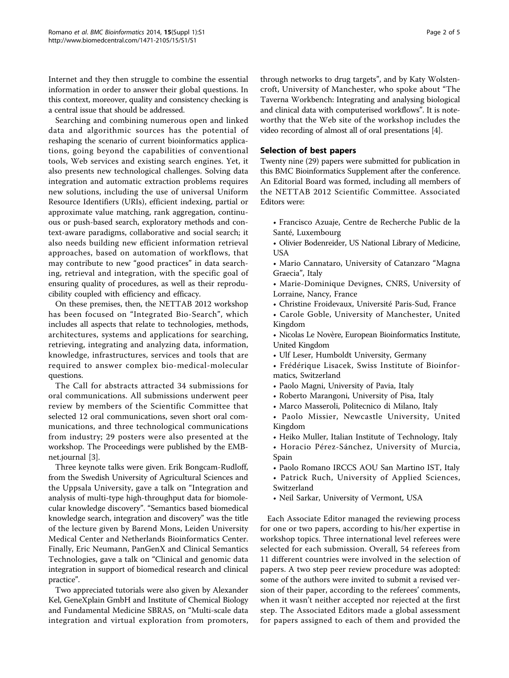Internet and they then struggle to combine the essential information in order to answer their global questions. In this context, moreover, quality and consistency checking is a central issue that should be addressed.

Searching and combining numerous open and linked data and algorithmic sources has the potential of reshaping the scenario of current bioinformatics applications, going beyond the capabilities of conventional tools, Web services and existing search engines. Yet, it also presents new technological challenges. Solving data integration and automatic extraction problems requires new solutions, including the use of universal Uniform Resource Identifiers (URIs), efficient indexing, partial or approximate value matching, rank aggregation, continuous or push-based search, exploratory methods and context-aware paradigms, collaborative and social search; it also needs building new efficient information retrieval approaches, based on automation of workflows, that may contribute to new "good practices" in data searching, retrieval and integration, with the specific goal of ensuring quality of procedures, as well as their reproducibility coupled with efficiency and efficacy.

On these premises, then, the NETTAB 2012 workshop has been focused on "Integrated Bio-Search", which includes all aspects that relate to technologies, methods, architectures, systems and applications for searching, retrieving, integrating and analyzing data, information, knowledge, infrastructures, services and tools that are required to answer complex bio-medical-molecular questions.

The Call for abstracts attracted 34 submissions for oral communications. All submissions underwent peer review by members of the Scientific Committee that selected 12 oral communications, seven short oral communications, and three technological communications from industry; 29 posters were also presented at the workshop. The Proceedings were published by the EMBnet.journal [[3\]](#page-3-0).

Three keynote talks were given. Erik Bongcam-Rudloff, from the Swedish University of Agricultural Sciences and the Uppsala University, gave a talk on "Integration and analysis of multi-type high-throughput data for biomolecular knowledge discovery". "Semantics based biomedical knowledge search, integration and discovery" was the title of the lecture given by Barend Mons, Leiden University Medical Center and Netherlands Bioinformatics Center. Finally, Eric Neumann, PanGenX and Clinical Semantics Technologies, gave a talk on "Clinical and genomic data integration in support of biomedical research and clinical practice".

Two appreciated tutorials were also given by Alexander Kel, GeneXplain GmbH and Institute of Chemical Biology and Fundamental Medicine SBRAS, on "Multi-scale data integration and virtual exploration from promoters,

through networks to drug targets", and by Katy Wolstencroft, University of Manchester, who spoke about "The Taverna Workbench: Integrating and analysing biological and clinical data with computerised workflows". It is noteworthy that the Web site of the workshop includes the video recording of almost all of oral presentations [\[4\]](#page-3-0).

## Selection of best papers

Twenty nine (29) papers were submitted for publication in this BMC Bioinformatics Supplement after the conference. An Editorial Board was formed, including all members of the NETTAB 2012 Scientific Committee. Associated Editors were:

- Francisco Azuaje, Centre de Recherche Public de la Santé, Luxembourg
- Olivier Bodenreider, US National Library of Medicine, **USA**
- Mario Cannataro, University of Catanzaro "Magna Graecia", Italy
- Marie-Dominique Devignes, CNRS, University of Lorraine, Nancy, France
- Christine Froidevaux, Université Paris-Sud, France
- Carole Goble, University of Manchester, United Kingdom
- Nicolas Le Novère, European Bioinformatics Institute, United Kingdom
- Ulf Leser, Humboldt University, Germany
- Frédérique Lisacek, Swiss Institute of Bioinformatics, Switzerland
- Paolo Magni, University of Pavia, Italy
- Roberto Marangoni, University of Pisa, Italy
- Marco Masseroli, Politecnico di Milano, Italy
- Paolo Missier, Newcastle University, United Kingdom
- Heiko Muller, Italian Institute of Technology, Italy
- Horacio Pérez-Sánchez, University of Murcia, Spain
- Paolo Romano IRCCS AOU San Martino IST, Italy
- Patrick Ruch, University of Applied Sciences, Switzerland
- Neil Sarkar, University of Vermont, USA

Each Associate Editor managed the reviewing process for one or two papers, according to his/her expertise in workshop topics. Three international level referees were selected for each submission. Overall, 54 referees from 11 different countries were involved in the selection of papers. A two step peer review procedure was adopted: some of the authors were invited to submit a revised version of their paper, according to the referees' comments, when it wasn't neither accepted nor rejected at the first step. The Associated Editors made a global assessment for papers assigned to each of them and provided the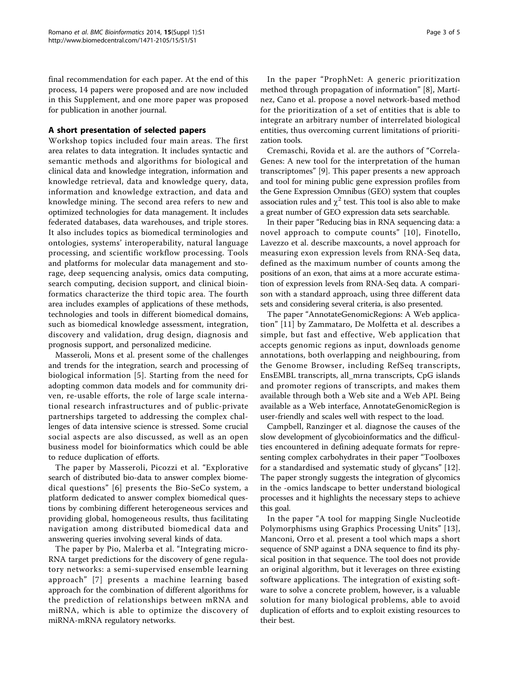final recommendation for each paper. At the end of this process, 14 papers were proposed and are now included in this Supplement, and one more paper was proposed for publication in another journal.

## A short presentation of selected papers

Workshop topics included four main areas. The first area relates to data integration. It includes syntactic and semantic methods and algorithms for biological and clinical data and knowledge integration, information and knowledge retrieval, data and knowledge query, data, information and knowledge extraction, and data and knowledge mining. The second area refers to new and optimized technologies for data management. It includes federated databases, data warehouses, and triple stores. It also includes topics as biomedical terminologies and ontologies, systems' interoperability, natural language processing, and scientific workflow processing. Tools and platforms for molecular data management and storage, deep sequencing analysis, omics data computing, search computing, decision support, and clinical bioinformatics characterize the third topic area. The fourth area includes examples of applications of these methods, technologies and tools in different biomedical domains, such as biomedical knowledge assessment, integration, discovery and validation, drug design, diagnosis and prognosis support, and personalized medicine.

Masseroli, Mons et al. present some of the challenges and trends for the integration, search and processing of biological information [\[5](#page-3-0)]. Starting from the need for adopting common data models and for community driven, re-usable efforts, the role of large scale international research infrastructures and of public-private partnerships targeted to addressing the complex challenges of data intensive science is stressed. Some crucial social aspects are also discussed, as well as an open business model for bioinformatics which could be able to reduce duplication of efforts.

The paper by Masseroli, Picozzi et al. "Explorative search of distributed bio-data to answer complex biomedical questions" [[6\]](#page-3-0) presents the Bio-SeCo system, a platform dedicated to answer complex biomedical questions by combining different heterogeneous services and providing global, homogeneous results, thus facilitating navigation among distributed biomedical data and answering queries involving several kinds of data.

The paper by Pio, Malerba et al. "Integrating micro-RNA target predictions for the discovery of gene regulatory networks: a semi-supervised ensemble learning approach" [[7\]](#page-3-0) presents a machine learning based approach for the combination of different algorithms for the prediction of relationships between mRNA and miRNA, which is able to optimize the discovery of miRNA-mRNA regulatory networks.

In the paper "ProphNet: A generic prioritization method through propagation of information" [\[8](#page-3-0)], Martínez, Cano et al. propose a novel network-based method for the prioritization of a set of entities that is able to integrate an arbitrary number of interrelated biological entities, thus overcoming current limitations of prioritization tools.

Cremaschi, Rovida et al. are the authors of "Correla-Genes: A new tool for the interpretation of the human transcriptomes" [[9\]](#page-3-0). This paper presents a new approach and tool for mining public gene expression profiles from the Gene Expression Omnibus (GEO) system that couples association rules and  $\chi^2$  test. This tool is also able to make a great number of GEO expression data sets searchable.

In their paper "Reducing bias in RNA sequencing data: a novel approach to compute counts" [[10\]](#page-3-0), Finotello, Lavezzo et al. describe maxcounts, a novel approach for measuring exon expression levels from RNA-Seq data, defined as the maximum number of counts among the positions of an exon, that aims at a more accurate estimation of expression levels from RNA-Seq data. A comparison with a standard approach, using three different data sets and considering several criteria, is also presented.

The paper "AnnotateGenomicRegions: A Web application" [[11\]](#page-3-0) by Zammataro, De Molfetta et al. describes a simple, but fast and effective, Web application that accepts genomic regions as input, downloads genome annotations, both overlapping and neighbouring, from the Genome Browser, including RefSeq transcripts, EnsEMBL transcripts, all\_mrna transcripts, CpG islands and promoter regions of transcripts, and makes them available through both a Web site and a Web API. Being available as a Web interface, AnnotateGenomicRegion is user-friendly and scales well with respect to the load.

Campbell, Ranzinger et al. diagnose the causes of the slow development of glycobioinformatics and the difficulties encountered in defining adequate formats for representing complex carbohydrates in their paper "Toolboxes for a standardised and systematic study of glycans" [\[12](#page-4-0)]. The paper strongly suggests the integration of glycomics in the -omics landscape to better understand biological processes and it highlights the necessary steps to achieve this goal.

In the paper "A tool for mapping Single Nucleotide Polymorphisms using Graphics Processing Units" [[13](#page-4-0)], Manconi, Orro et al. present a tool which maps a short sequence of SNP against a DNA sequence to find its physical position in that sequence. The tool does not provide an original algorithm, but it leverages on three existing software applications. The integration of existing software to solve a concrete problem, however, is a valuable solution for many biological problems, able to avoid duplication of efforts and to exploit existing resources to their best.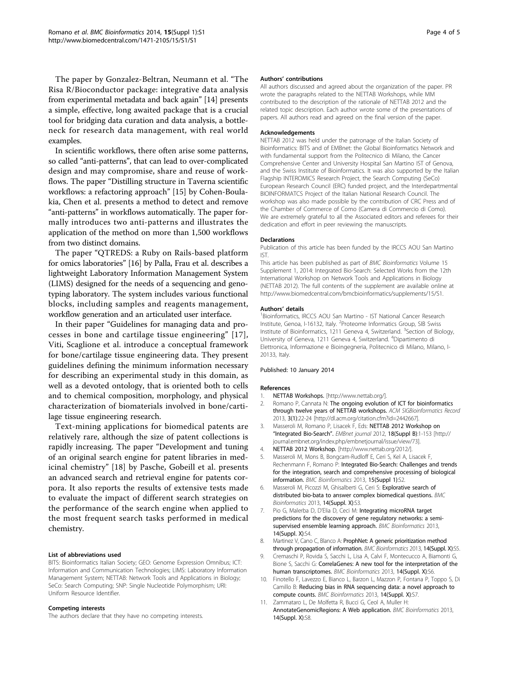<span id="page-3-0"></span>The paper by Gonzalez-Beltran, Neumann et al. "The Risa R/Bioconductor package: integrative data analysis from experimental metadata and back again" [[14\]](#page-4-0) presents a simple, effective, long awaited package that is a crucial tool for bridging data curation and data analysis, a bottleneck for research data management, with real world examples.

In scientific workflows, there often arise some patterns, so called "anti-patterns", that can lead to over-complicated design and may compromise, share and reuse of workflows. The paper "Distilling structure in Taverna scientific workflows: a refactoring approach" [\[15\]](#page-4-0) by Cohen-Boulakia, Chen et al. presents a method to detect and remove "anti-patterns" in workflows automatically. The paper formally introduces two anti-patterns and illustrates the application of the method on more than 1,500 workflows from two distinct domains.

The paper "QTREDS: a Ruby on Rails-based platform for omics laboratories" [\[16\]](#page-4-0) by Palla, Frau et al. describes a lightweight Laboratory Information Management System (LIMS) designed for the needs of a sequencing and genotyping laboratory. The system includes various functional blocks, including samples and reagents management, workflow generation and an articulated user interface.

In their paper "Guidelines for managing data and processes in bone and cartilage tissue engineering" [[17\]](#page-4-0), Viti, Scaglione et al. introduce a conceptual framework for bone/cartilage tissue engineering data. They present guidelines defining the minimum information necessary for describing an experimental study in this domain, as well as a devoted ontology, that is oriented both to cells and to chemical composition, morphology, and physical characterization of biomaterials involved in bone/cartilage tissue engineering research.

Text-mining applications for biomedical patents are relatively rare, although the size of patent collections is rapidly increasing. The paper "Development and tuning of an original search engine for patent libraries in medicinal chemistry" [[18\]](#page-4-0) by Pasche, Gobeill et al. presents an advanced search and retrieval engine for patents corpora. It also reports the results of extensive tests made to evaluate the impact of different search strategies on the performance of the search engine when applied to the most frequent search tasks performed in medical chemistry.

#### List of abbreviations used

BITS: Bioinformatics Italian Society; GEO: Genome Expression Omnibus; ICT: Information and Communication Technologies; LIMS: Laboratory Information Management System; NETTAB: Network Tools and Applications in Biology; SeCo: Search Computing; SNP: Single Nucleotide Polymorphism; URI: Uniform Resource Identifier.

#### Competing interests

The authors declare that they have no competing interests.

#### Authors' contributions

All authors discussed and agreed about the organization of the paper. PR wrote the paragraphs related to the NETTAB Workshops, while MM contributed to the description of the rationale of NETTAB 2012 and the related topic description. Each author wrote some of the presentations of papers. All authors read and agreed on the final version of the paper.

#### Acknowledgements

NETTAB 2012 was held under the patronage of the Italian Society of Bioinformatics: BITS and of EMBnet: the Global Bioinformatics Network and with fundamental support from the Politecnico di Milano, the Cancer Comprehensive Center and University Hospital San Martino IST of Genova, and the Swiss Institute of Bioinformatics. It was also supported by the Italian Flagship INTEROMICS Research Project, the Search Computing (SeCo) European Research Council (ERC) funded project, and the Interdepartmental BIOINFORMATCS Project of the Italian National Research Council. The workshop was also made possible by the contribution of CRC Press and of the Chamber of Commerce of Como (Camera di Commercio di Como). We are extremely grateful to all the Associated editors and referees for their dedication and effort in peer reviewing the manuscripts.

#### Declarations

Publication of this article has been funded by the IRCCS AOU San Martino IST.

This article has been published as part of BMC Bioinformatics Volume 15 Supplement 1, 2014: Integrated Bio-Search: Selected Works from the 12th International Workshop on Network Tools and Applications in Biology (NETTAB 2012). The full contents of the supplement are available online at [http://www.biomedcentral.com/bmcbioinformatics/supplements/15/S1.](http://www.biomedcentral.com/bmcbioinformatics/supplements/15/S1)

#### Authors' details <sup>1</sup>

Bioinformatics, IRCCS AOU San Martino - IST National Cancer Research Institute, Genoa, I-16132, Italy. <sup>2</sup>Proteome Informatics Group, SIB Swiss Institute of Bioinformatics, 1211 Geneva 4, Switzerland. <sup>3</sup>Section of Biology, University of Geneva, 1211 Geneva 4, Switzerland. <sup>4</sup>Dipartimento di Elettronica, Informazione e Bioingegneria, Politecnico di Milano, Milano, I-20133, Italy.

#### Published: 10 January 2014

#### References

- NETTAB Workshops. [[http://www.nettab.org/\]](http://www.nettab.org/).
- 2. Romano P, Cannata N: The ongoing evolution of ICT for bioinformatics through twelve years of NETTAB workshops. ACM SIGBioinformatics Record 2013, 3(1):22-24 [\[http://dl.acm.org/citation.cfm?id=2442667\]](http://dl.acm.org/citation.cfm?id=2442667).
- 3. Masseroli M, Romano P, Lisacek F, Eds: NETTAB 2012 Workshop on "Integrated Bio-Search". EMBnet journal 2012, 18(Suppl B):1-153 [[http://](http://journal.embnet.org/index.php/embnetjournal/issue/view/73) [journal.embnet.org/index.php/embnetjournal/issue/view/73](http://journal.embnet.org/index.php/embnetjournal/issue/view/73)].
- 4. NETTAB 2012 Workshop. [[http://www.nettab.org/2012/\]](http://www.nettab.org/2012/).
- 5. Masseroli M, Mons B, Bongcam-Rudloff E, Ceri S, Kel A, Lisacek F, Rechenmann F, Romano P: Integrated Bio-Search: Challenges and trends for the integration, search and comprehensive processing of biological information. BMC Bioinformatics 2013, 15(Suppl 1):S2.
- 6. Masseroli M, Picozzi M, Ghisalberti G, Ceri S: Explorative search of distributed bio-bata to answer complex biomedical questions. BMC Bioinformatics 2013, 14(Suppl. X):S3.
- 7. Pio G, Malerba D, D'Elia D, Ceci M: Integrating microRNA target predictions for the discovery of gene regulatory networks: a semisupervised ensemble learning approach. BMC Bioinformatics 2013, 14(Suppl. X):S4.
- 8. Martinez V, Cano C, Blanco A: ProphNet: A generic prioritization method through propagation of information. BMC Bioinformatics 2013, 14(Suppl. X):S5.
- 9. Cremaschi P, Rovida S, Sacchi L, Lisa A, Calvi F, Montecucco A, Biamonti G, Bione S, Sacchi G: CorrelaGenes: A new tool for the interpretation of the human transcriptomes. BMC Bioinformatics 2013, 14(Suppl. X):S6.
- 10. Finotello F, Lavezzo E, Bianco L, Barzon L, Mazzon P, Fontana P, Toppo S, Di Camillo B: Reducing bias in RNA sequencing data: a novel approach to compute counts. BMC Bioinformatics 2013, 14(Suppl. X):S7.
- 11. Zammataro L, De Molfetta R, Bucci G, Ceol A, Muller H: AnnotateGenomicRegions: A Web application. BMC Bioinformatics 2013, 14(Suppl. X):S8.